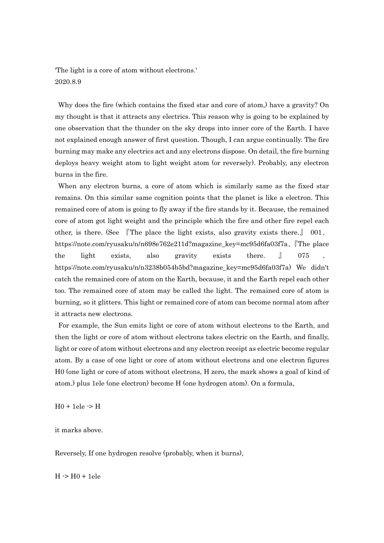'The light is a core of atom without electrons.' 2020.8.9

 Why does the fire (which contains the fixed star and core of atom,) have a gravity? On my thought is that it attracts any electrics. This reason why is going to be explained by one observation that the thunder on the sky drops into inner core of the Earth. I have not explained enough answer of first question. Though, I can argue continually. The fire burning may make any electrics act and any electrons dispose. On detail, the fire burning deploys heavy weight atom to light weight atom (or reversely). Probably, any electron burns in the fire.

 When any electron burns, a core of atom which is similarly same as the fixed star remains. On this similar same cognition points that the planet is like a electron. This remained core of atom is going to fly away if the fire stands by it. Because, the remained core of atom got light weight and the principle which the fire and other fire repel each other, is there. (See 『The place the light exists, also gravity exists there.』 001、 https://note.com/ryusaku/n/n698e762e211d?magazine\_key=mc95d6fa03f7a、『The place the light exists, also gravity exists there. <u>J</u> 075 、 https://note.com/ryusaku/n/n3238b054b5bd?magazine\_key=mc95d6fa03f7a) We didn't catch the remained core of atom on the Earth, because, it and the Earth repel each other too. The remained core of atom may be called the light. The remained core of atom is burning, so it glitters. This light or remained core of atom can become normal atom after it attracts new electrons.

 For example, the Sun emits light or core of atom without electrons to the Earth, and then the light or core of atom without electrons takes electric on the Earth, and finally, light or core of atom without electrons and any electron receipt as electric become regular atom. By a case of one light or core of atom without electrons and one electron figures H0 (one light or core of atom without electrons, H zero, the mark shows a goal of kind of atom.) plus 1ele (one electron) become H (one hydrogen atom). On a formula,

 $H0 + 1$ ele  $\rightarrow H$ 

it marks above.

Reversely, If one hydrogen resolve (probably, when it burns),

 $H \rightarrow H0 + 1$ ele